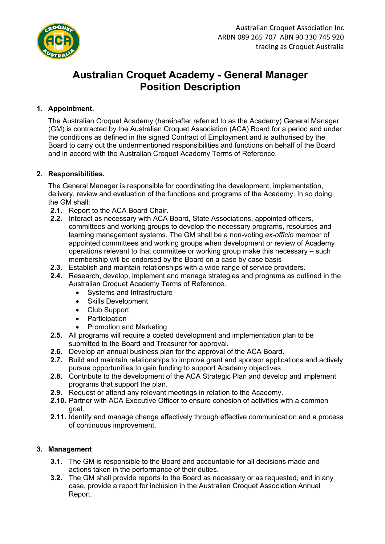

# **Australian Croquet Academy - General Manager Position Description**

## **1. Appointment.**

The Australian Croquet Academy (hereinafter referred to as the Academy) General Manager (GM) is contracted by the Australian Croquet Association (ACA) Board for a period and under the conditions as defined in the signed Contract of Employment and is authorised by the Board to carry out the undermentioned responsibilities and functions on behalf of the Board and in accord with the Australian Croquet Academy Terms of Reference.

## **2. Responsibilities.**

The General Manager is responsible for coordinating the development, implementation, delivery, review and evaluation of the functions and programs of the Academy. In so doing, the GM shall:

- **2.1.** Report to the ACA Board Chair.
- **2.2.** Interact as necessary with ACA Board, State Associations, appointed officers, committees and working groups to develop the necessary programs, resources and learning management systems. The GM shall be a non-voting *ex-officio* member of appointed committees and working groups when development or review of Academy operations relevant to that committee or working group make this necessary – such membership will be endorsed by the Board on a case by case basis
- **2.3.** Establish and maintain relationships with a wide range of service providers.
- **2.4.** Research, develop, implement and manage strategies and programs as outlined in the Australian Croquet Academy Terms of Reference.
	- Systems and Infrastructure
	- Skills Development
	- Club Support
	- **Participation**
	- Promotion and Marketing
- **2.5.** All programs will require a costed development and implementation plan to be submitted to the Board and Treasurer for approval.
- **2.6.** Develop an annual business plan for the approval of the ACA Board.
- **2.7.** Build and maintain relationships to improve grant and sponsor applications and actively pursue opportunities to gain funding to support Academy objectives.
- **2.8.** Contribute to the development of the ACA Strategic Plan and develop and implement programs that support the plan.
- **2.9.** Request or attend any relevant meetings in relation to the Academy.
- **2.10.** Partner with ACA Executive Officer to ensure cohesion of activities with a common goal.
- **2.11.** Identify and manage change effectively through effective communication and a process of continuous improvement.

## **3. Management**

- **3.1.** The GM is responsible to the Board and accountable for all decisions made and actions taken in the performance of their duties.
- **3.2.** The GM shall provide reports to the Board as necessary or as requested, and in any case, provide a report for inclusion in the Australian Croquet Association Annual Report.